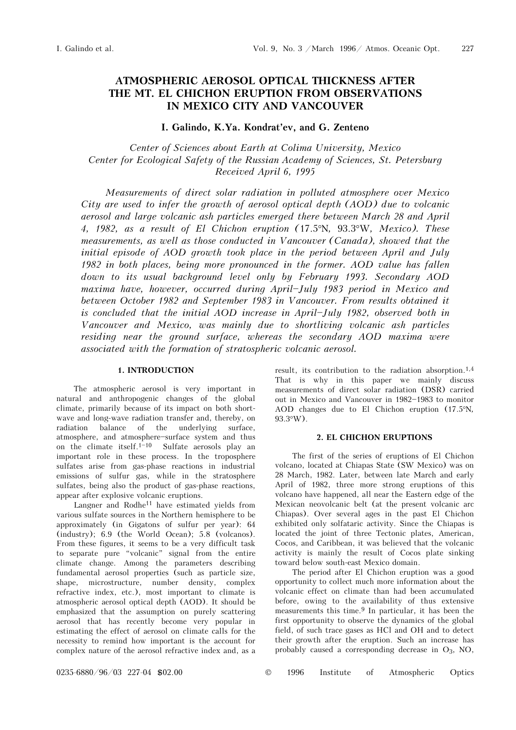# **ATMOSPHERIC AEROSOL OPTICAL THICKNESS AFTER THE MT. EL CHICHON ERUPTION FROM OBSERVATIONS IN MEXICO CITY AND VANCOUVER**

# **I. Galindo, K.Ya. Kondrat'ev, and G. Zenteno**

*Center of Sciences about Earth at Colima University, Mexico Center for Ecological Safety of the Russian Academy of Sciences, St. Petersburg Received April 6, 1995*

*Measurements of direct solar radiation in polluted atmosphere over Mexico City are used to infer the growth of aerosol optical depth (AOD) due to volcanic aerosol and large volcanic ash particles emerged there between March 28 and April 4, 1982, as a result of El Chichon eruption (*17.5°N*,* 93.3°W*, Mexico). These measurements, as well as those conducted in Vancouver (Canada), showed that the initial episode of AOD growth took place in the period between April and July 1982 in both places, being more pronounced in the former. AOD value has fallen down to its usual background level only by February 1993. Secondary AOD maxima have, however, occurred during April-July 1983 period in Mexico and between October 1982 and September 1983 in Vancouver. From results obtained it is concluded that the initial AOD increase in April-July 1982, observed both in Vancouver and Mexico, was mainly due to shortliving volcanic ash particles residing near the ground surface, whereas the secondary AOD maxima were associated with the formation of stratospheric volcanic aerosol.* 

## **1. INTRODUCTION**

The atmospheric aerosol is very important in natural and anthropogenic changes of the global climate, primarily because of its impact on both shortwave and long-wave radiation transfer and, thereby, on radiation balance of the underlying surface, atmosphere, and atmosphere-surface system and thus on the climate itself.<sup>1-10</sup> Sulfate aerosols play an important role in these process. In the troposphere sulfates arise from gas-phase reactions in industrial emissions of sulfur gas, while in the stratosphere sulfates, being also the product of gas-phase reactions, appear after explosive volcanic eruptions.

Langner and Rodhe11 have estimated yields from various sulfate sources in the Northern hemisphere to be approximately (in Gigatons of sulfur per year): 64 (industry); 6.9 (the World Ocean); 5.8 (volcanos). From these figures, it seems to be a very difficult task to separate pure "volcanic" signal from the entire climate change. Among the parameters describing fundamental aerosol properties (such as particle size, shape, microstructure, number density, complex refractive index, etc.), most important to climate is atmospheric aerosol optical depth (AOD). It should be emphasized that the assumption on purely scattering aerosol that has recently become very popular in estimating the effect of aerosol on climate calls for the necessity to remind how important is the account for complex nature of the aerosol refractive index and, as a result, its contribution to the radiation absorption.1,4 That is why in this paper we mainly discuss measurements of direct solar radiation (DSR) carried out in Mexico and Vancouver in 1982-1983 to monitor AOD changes due to El Chichon eruption (17.5°N*,* 93.3°W).

#### **2. EL CHICHON ERUPTIONS**

The first of the series of eruptions of El Chichon volcano, located at Chiapas State (SW Mexico) was on 28 March, 1982. Later, between late March and early April of 1982, three more strong eruptions of this volcano have happened, all near the Eastern edge of the Mexican neovolcanic belt (at the present volcanic arc Chiapas). Over several ages in the past El Chichon exhibited only solfataric activity. Since the Chiapas is located the joint of three Tectonic plates, American, Cocos, and Caribbean, it was believed that the volcanic activity is mainly the result of Cocos plate sinking toward below south-east Mexico domain.

The period after El Chichon eruption was a good opportunity to collect much more information about the volcanic effect on climate than had been accumulated before, owing to the availability of thus extensive measurements this time.<sup>9</sup> In particular, it has been the first opportunity to observe the dynamics of the global field, of such trace gases as HCl and OH and to detect their growth after the eruption. Such an increase has probably caused a corresponding decrease in  $O_3$ , NO,

0235-6880/96/03 227-04 \$02.00 © 1996 Institute of Atmospheric Optics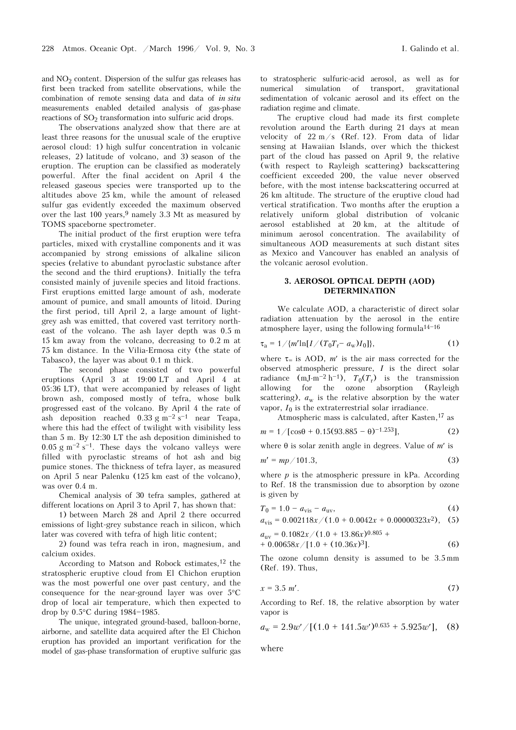and  $NO<sub>2</sub>$  content. Dispersion of the sulfur gas releases has first been tracked from satellite observations, while the combination of remote sensing data and data of *in situ* measurements enabled detailed analysis of gas-phase reactions of  $SO_2$  transformation into sulfuric acid drops.

The observations analyzed show that there are at least three reasons for the unusual scale of the eruptive aerosol cloud: 1) high sulfur concentration in volcanic releases, 2) latitude of volcano, and 3) season of the eruption. The eruption can be classified as moderately powerful. After the final accident on April 4 the released gaseous species were transported up to the altitudes above 25 km, while the amount of released sulfur gas evidently exceeded the maximum observed over the last  $100$  years,  $9$  namely 3.3 Mt as measured by TOMS spaceborne spectrometer.

The initial product of the first eruption were tefra particles, mixed with crystalline components and it was accompanied by strong emissions of alkaline silicon species (relative to abundant pyroclastic substance after the second and the third eruptions). Initially the tefra consisted mainly of juvenile species and litoid fractions. First eruptions emitted large amount of ash, moderate amount of pumice, and small amounts of litoid. During the first period, till April 2, a large amount of lightgrey ash was emitted, that covered vast territory northeast of the volcano. The ash layer depth was 0.5 m 15 km away from the volcano, decreasing to 0.2 m at 75 km distance. In the Vilia-Ermosa city (the state of Tabasco), the layer was about 0.1 m thick.

The second phase consisted of two powerful eruptions (April 3 at 19:00 LT and April 4 at 05:36 LT), that were accompanied by releases of light brown ash, composed mostly of tefra, whose bulk progressed east of the volcano. By April 4 the rate of ash deposition reached  $0.33 \text{ g m}^{-2} \text{ s}^{-1}$  near Teapa, where this had the effect of twilight with visibility less than 5 m. By 12:30 LT the ash deposition diminished to  $0.05$  g m<sup>-2</sup> s<sup>-1</sup>. These days the volcano valleys were filled with pyroclastic streams of hot ash and big pumice stones. The thickness of tefra layer, as measured on April 5 near Palenku (125 km east of the volcano), was over 0.4 m.

Chemical analysis of 30 tefra samples, gathered at different locations on April 3 to April 7, has shown that:

1) between March 28 and April 2 there occurred emissions of light-grey substance reach in silicon, which later was covered with tefra of high litic content;

2) found was tefra reach in iron, magnesium, and calcium oxides.

According to Matson and Robock estimates,12 the stratospheric eruptive cloud from El Chichon eruption was the most powerful one over past century, and the consequence for the near-ground layer was over 5°C drop of local air temperature, which then expected to drop by  $0.5^{\circ}$ C during 1984-1985.

The unique, integrated ground-based, balloon-borne, airborne, and satellite data acquired after the El Chichon eruption has provided an important verification for the model of gas-phase transformation of eruptive sulfuric gas to stratospheric sulfuric-acid aerosol, as well as for numerical simulation of transport, gravitational sedimentation of volcanic aerosol and its effect on the radiation regime and climate.

The eruptive cloud had made its first complete revolution around the Earth during 21 days at mean velocity of 22 m/s (Ref. 12). From data of lidar sensing at Hawaiian Islands, over which the thickest part of the cloud has passed on April 9, the relative (with respect to Rayleigh scattering) backscattering coefficient exceeded 200, the value never observed before, with the most intense backscattering occurred at 26 km altitude. The structure of the eruptive cloud had vertical stratification. Two months after the eruption a relatively uniform global distribution of volcanic aerosol established at 20 km, at the altitude of minimum aerosol concentration. The availability of simultaneous AOD measurements at such distant sites as Mexico and Vancouver has enabled an analysis of the volcanic aerosol evolution.

#### **3. AEROSOL OPTICAL DEPTH (AOD) DETERMINATION**

We calculate AOD, a characteristic of direct solar radiation attenuation by the aerosol in the entire atmosphere layer, using the following formula $14-16$ 

$$
\tau_{\rm a} = 1 / \{m' \ln[I / (T_0 T_{\rm r} - a_{\rm w}) I_0] \},\tag{1}
$$

where  $\tau$  is AOD, *m'* is the air mass corrected for the observed atmospheric pressure, *I* is the direct solar radiance  $(mJ·m<sup>-2</sup> h<sup>-1</sup>)$ ,  $T_0(T_r)$  is the transmission allowing for the ozone absorption (Rayleigh scattering),  $a_w$  is the relative absorption by the water vapor,  $I_0$  is the extraterrestrial solar irradiance.

Atmospheric mass is calculated, after Kasten,17 as

$$
m = 1/[\cos\theta + 0.15(93.885 - \theta)^{-1.253}], \tag{2}
$$

where θ is solar zenith angle in degrees. Value of *m*′ is

$$
m' = mp / 101.3,
$$
\n<sup>(3)</sup>

where  $p$  is the atmospheric pressure in  $kPa$ . According to Ref. 18 the transmission due to absorption by ozone is given by

$$
T_0 = 1.0 - a_{\rm vis} - a_{\rm uv},\tag{4}
$$

$$
a_{\rm vis} = 0.002118x/(1.0 + 0.0042x + 0.00000323x^2), (5)
$$

$$
a_{uv} = 0.1082x / (1.0 + 13.86x)^{0.805} ++ 0.00658x / [1.0 + (10.36x)^3].
$$
 (6)

The ozone column density is assumed to be 3.5 mm (Ref. 19). Thus,

$$
x = 3.5 \ m'. \tag{7}
$$

According to Ref. 18, the relative absorption by water vapor is

$$
a_{\rm w} = 2.9w' / [(1.0 + 141.5w')^{0.635} + 5.925w'],
$$
 (8)

where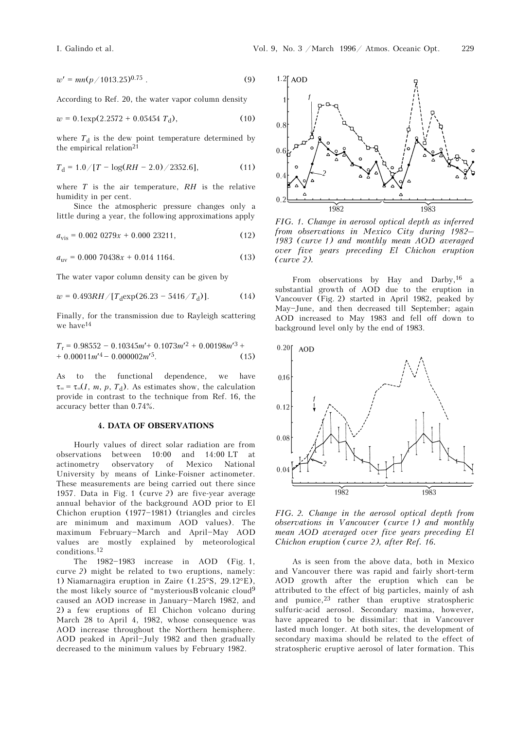$$
w' = mn(p/1013.25)^{0.75} \t\t(9)
$$

According to Ref. 20, the water vapor column density

$$
w = 0.1 \exp(2.2572 + 0.05454 T_{d}), \qquad (10)
$$

where  $T_d$  is the dew point temperature determined by the empirical relation21

$$
T_{\rm d} = 1.0 / [T - \log(RH - 2.0) / 2352.6], \tag{11}
$$

where *T* is the air temperature, *RH* is the relative humidity in per cent.

Since the atmospheric pressure changes only a little during a year, the following approximations apply

$$
a_{\rm vis} = 0.002\ 0279x + 0.000\ 23211,\tag{12}
$$

$$
a_{\rm uv} = 0.000\ 70438x + 0.014\ 1164.\tag{13}
$$

The water vapor column density can be given by

$$
w = 0.493RH / [T_{\rm d} \exp(26.23 - 5416 / T_{\rm d})]. \tag{14}
$$

Finally, for the transmission due to Rayleigh scattering we have<sup>14</sup>

$$
T_{\rm r} = 0.98552 - 0.10345m' + 0.1073m'^2 + 0.00198m'^3 +
$$
  
+ 0.00011m'^4 - 0.000002m'^5. (15)

As to the functional dependence, we have  $\tau = \tau = (I, m, p, T_d)$ . As estimates show, the calculation provide in contrast to the technique from Ref. 16, the accuracy better than 0.74%.

#### **4. DATA OF OBSERVATIONS**

Hourly values of direct solar radiation are from observations between 10:00 and 14:00 LT at actinometry observatory of Mexico National University by means of Linke-Foisner actinometer. These measurements are being carried out there since 1957. Data in Fig. 1 (curve *2*) are five-year average annual behavior of the background AOD prior to El Chichon eruption  $(1977-1981)$  (triangles and circles are minimum and maximum AOD values). The maximum February-March and April-May AOD values are mostly explained by meteorological conditions.12

The  $1982-1983$  increase in AOD (Fig. 1, curve *2*) might be related to two eruptions, namely: 1) Niamarnagira eruption in Zaire (1.25°S, 29.12°E), the most likely source of "mysteriousB volcanic cloud $9$ caused an AOD increase in January-March 1982, and 2) a few eruptions of El Chichon volcano during March 28 to April 4, 1982, whose consequence was AOD increase throughout the Northern hemisphere. AOD peaked in April-July 1982 and then gradually decreased to the minimum values by February 1982.



*FIG. 1. Change in aerosol optical depth as inferred from observations in Mexico City during 1982– 1983 (curve 1) and monthly mean AOD averaged over five years preceding El Chichon eruption (curve 2).* 

From observations by Hay and Darby,  $16$  a substantial growth of AOD due to the eruption in Vancouver (Fig. 2) started in April 1982, peaked by May-June, and then decreased till September; again AOD increased to May 1983 and fell off down to background level only by the end of 1983.



*FIG. 2. Change in the aerosol optical depth from observations in Vancouver (curve 1) and monthly mean AOD averaged over five years preceding El Chichon eruption (curve 2), after Ref. 16.* 

As is seen from the above data, both in Mexico and Vancouver there was rapid and fairly short-term AOD growth after the eruption which can be attributed to the effect of big particles, mainly of ash and pumice,  $23$  rather than eruptive stratospheric sulfuric-acid aerosol. Secondary maxima, however, have appeared to be dissimilar: that in Vancouver lasted much longer. At both sites, the development of secondary maxima should be related to the effect of stratospheric eruptive aerosol of later formation. This